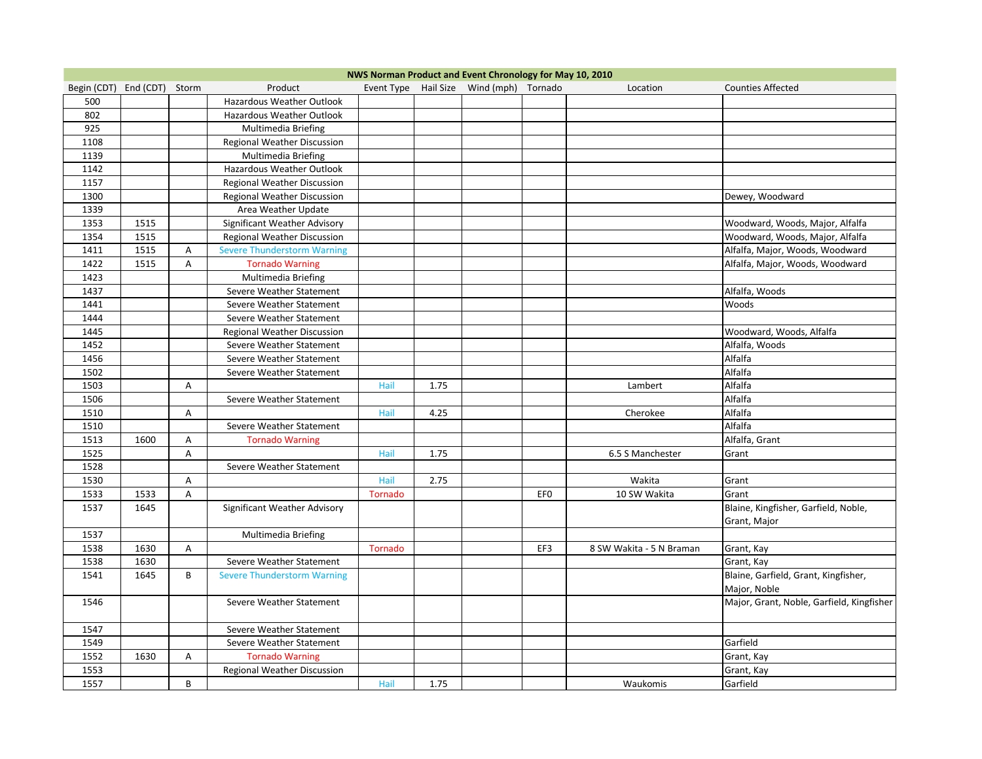|                             |      |   |                                    |                |      | NWS Norman Product and Event Chronology for May 10, 2010 |                 |                          |                                           |
|-----------------------------|------|---|------------------------------------|----------------|------|----------------------------------------------------------|-----------------|--------------------------|-------------------------------------------|
| Begin (CDT) End (CDT) Storm |      |   | Product                            |                |      | Event Type Hail Size Wind (mph) Tornado                  |                 | Location                 | <b>Counties Affected</b>                  |
| 500                         |      |   | Hazardous Weather Outlook          |                |      |                                                          |                 |                          |                                           |
| 802                         |      |   | Hazardous Weather Outlook          |                |      |                                                          |                 |                          |                                           |
| 925                         |      |   | Multimedia Briefing                |                |      |                                                          |                 |                          |                                           |
| 1108                        |      |   | Regional Weather Discussion        |                |      |                                                          |                 |                          |                                           |
| 1139                        |      |   | Multimedia Briefing                |                |      |                                                          |                 |                          |                                           |
| 1142                        |      |   | Hazardous Weather Outlook          |                |      |                                                          |                 |                          |                                           |
| 1157                        |      |   | Regional Weather Discussion        |                |      |                                                          |                 |                          |                                           |
| 1300                        |      |   | Regional Weather Discussion        |                |      |                                                          |                 |                          | Dewey, Woodward                           |
| 1339                        |      |   | Area Weather Update                |                |      |                                                          |                 |                          |                                           |
| 1353                        | 1515 |   | Significant Weather Advisory       |                |      |                                                          |                 |                          | Woodward, Woods, Major, Alfalfa           |
| 1354                        | 1515 |   | Regional Weather Discussion        |                |      |                                                          |                 |                          | Woodward, Woods, Major, Alfalfa           |
| 1411                        | 1515 | Α | <b>Severe Thunderstorm Warning</b> |                |      |                                                          |                 |                          | Alfalfa, Major, Woods, Woodward           |
| 1422                        | 1515 | A | <b>Tornado Warning</b>             |                |      |                                                          |                 |                          | Alfalfa, Major, Woods, Woodward           |
| 1423                        |      |   | Multimedia Briefing                |                |      |                                                          |                 |                          |                                           |
| 1437                        |      |   | Severe Weather Statement           |                |      |                                                          |                 |                          | Alfalfa, Woods                            |
| 1441                        |      |   | Severe Weather Statement           |                |      |                                                          |                 |                          | Woods                                     |
| 1444                        |      |   | Severe Weather Statement           |                |      |                                                          |                 |                          |                                           |
| 1445                        |      |   | Regional Weather Discussion        |                |      |                                                          |                 |                          | Woodward, Woods, Alfalfa                  |
| 1452                        |      |   | Severe Weather Statement           |                |      |                                                          |                 |                          | Alfalfa, Woods                            |
| 1456                        |      |   | Severe Weather Statement           |                |      |                                                          |                 |                          | Alfalfa                                   |
| 1502                        |      |   | Severe Weather Statement           |                |      |                                                          |                 |                          | Alfalfa                                   |
| 1503                        |      | Α |                                    | Hail           | 1.75 |                                                          |                 | Lambert                  | Alfalfa                                   |
| 1506                        |      |   | Severe Weather Statement           |                |      |                                                          |                 |                          | Alfalfa                                   |
| 1510                        |      | Α |                                    | Hail           | 4.25 |                                                          |                 | Cherokee                 | Alfalfa                                   |
| 1510                        |      |   | Severe Weather Statement           |                |      |                                                          |                 |                          | Alfalfa                                   |
| 1513                        | 1600 | Α | <b>Tornado Warning</b>             |                |      |                                                          |                 |                          | Alfalfa, Grant                            |
| 1525                        |      | Α |                                    | Hail           | 1.75 |                                                          |                 | 6.5 S Manchester         | Grant                                     |
| 1528                        |      |   | Severe Weather Statement           |                |      |                                                          |                 |                          |                                           |
| 1530                        |      | Α |                                    | Hail           | 2.75 |                                                          |                 | Wakita                   | Grant                                     |
| 1533                        | 1533 | Α |                                    | <b>Tornado</b> |      |                                                          | EF <sub>0</sub> | 10 SW Wakita             | Grant                                     |
| 1537                        | 1645 |   | Significant Weather Advisory       |                |      |                                                          |                 |                          | Blaine, Kingfisher, Garfield, Noble,      |
|                             |      |   |                                    |                |      |                                                          |                 |                          | Grant, Major                              |
| 1537                        |      |   | Multimedia Briefing                |                |      |                                                          |                 |                          |                                           |
| 1538                        | 1630 | A |                                    | <b>Tornado</b> |      |                                                          | EF3             | 8 SW Wakita - 5 N Braman | Grant, Kay                                |
| 1538                        | 1630 |   | Severe Weather Statement           |                |      |                                                          |                 |                          | Grant, Kay                                |
| 1541                        | 1645 | B | <b>Severe Thunderstorm Warning</b> |                |      |                                                          |                 |                          | Blaine, Garfield, Grant, Kingfisher,      |
|                             |      |   |                                    |                |      |                                                          |                 |                          | Major, Noble                              |
| 1546                        |      |   | Severe Weather Statement           |                |      |                                                          |                 |                          | Major, Grant, Noble, Garfield, Kingfisher |
|                             |      |   |                                    |                |      |                                                          |                 |                          |                                           |
| 1547                        |      |   | Severe Weather Statement           |                |      |                                                          |                 |                          |                                           |
| 1549                        |      |   | Severe Weather Statement           |                |      |                                                          |                 |                          | Garfield                                  |
| 1552                        | 1630 | A | <b>Tornado Warning</b>             |                |      |                                                          |                 |                          | Grant, Kay                                |
| 1553                        |      |   | Regional Weather Discussion        |                |      |                                                          |                 |                          | Grant, Kay                                |
| 1557                        |      | B |                                    | Hail           | 1.75 |                                                          |                 | Waukomis                 | Garfield                                  |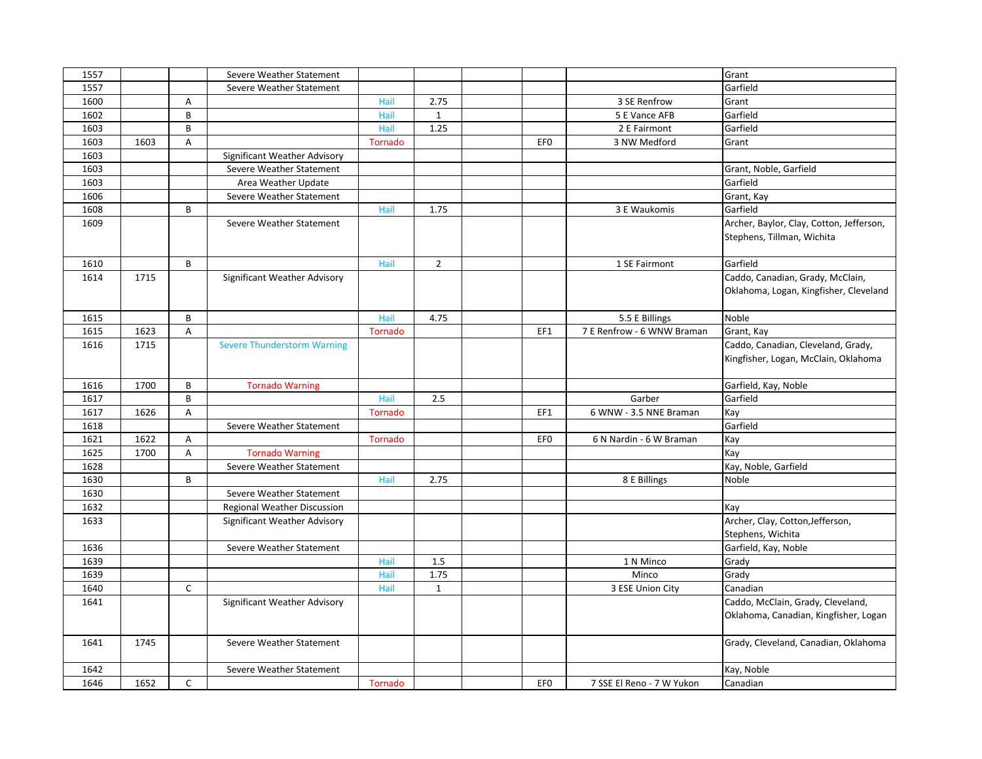| 1557         |      |              | Severe Weather Statement           |                |                |                 |                            | Grant                                    |
|--------------|------|--------------|------------------------------------|----------------|----------------|-----------------|----------------------------|------------------------------------------|
| 1557         |      |              | Severe Weather Statement           |                |                |                 |                            | Garfield                                 |
| 1600         |      | A            |                                    | Hail           | 2.75           |                 | 3 SE Renfrow               | Grant                                    |
| 1602         |      | B            |                                    | Hail           | $\mathbf{1}$   |                 | 5 E Vance AFB              | Garfield                                 |
| 1603         |      | B            |                                    | Hail           | 1.25           |                 | 2 E Fairmont               | Garfield                                 |
| 1603         | 1603 | Α            |                                    | <b>Tornado</b> |                | EF <sub>0</sub> | 3 NW Medford               | Grant                                    |
| 1603         |      |              | Significant Weather Advisory       |                |                |                 |                            |                                          |
| 1603         |      |              | Severe Weather Statement           |                |                |                 |                            | Grant, Noble, Garfield                   |
| 1603         |      |              | Area Weather Update                |                |                |                 |                            | Garfield                                 |
| 1606         |      |              | Severe Weather Statement           |                |                |                 |                            | Grant, Kay                               |
| 1608         |      | B            |                                    | Hail           | 1.75           |                 | 3 E Waukomis               | Garfield                                 |
| 1609         |      |              | Severe Weather Statement           |                |                |                 |                            | Archer, Baylor, Clay, Cotton, Jefferson, |
|              |      |              |                                    |                |                |                 |                            | Stephens, Tillman, Wichita               |
|              |      | B            |                                    |                | $\overline{2}$ |                 |                            |                                          |
| 1610         |      |              |                                    | Hail           |                |                 | 1 SE Fairmont              | Garfield                                 |
| 1614         | 1715 |              | Significant Weather Advisory       |                |                |                 |                            | Caddo, Canadian, Grady, McClain,         |
|              |      |              |                                    |                |                |                 |                            | Oklahoma, Logan, Kingfisher, Cleveland   |
| 1615         |      | B            |                                    | Hail           | 4.75           |                 | 5.5 E Billings             | Noble                                    |
| 1615         | 1623 | Α            |                                    | Tornado        |                | EF1             | 7 E Renfrow - 6 WNW Braman | Grant, Kay                               |
| 1616         | 1715 |              | <b>Severe Thunderstorm Warning</b> |                |                |                 |                            | Caddo, Canadian, Cleveland, Grady,       |
|              |      |              |                                    |                |                |                 |                            | Kingfisher, Logan, McClain, Oklahoma     |
|              |      |              |                                    |                |                |                 |                            |                                          |
|              |      |              |                                    |                |                |                 |                            |                                          |
| 1616         | 1700 | B            | <b>Tornado Warning</b>             |                |                |                 |                            | Garfield, Kay, Noble                     |
| 1617         |      | B            |                                    | Hail           | 2.5            |                 | Garber                     | Garfield                                 |
| 1617         | 1626 | A            |                                    | Tornado        |                | EF1             | 6 WNW - 3.5 NNE Braman     | Kay                                      |
| 1618         |      |              | Severe Weather Statement           |                |                |                 |                            | Garfield                                 |
| 1621         | 1622 | Α            |                                    | Tornado        |                | EF <sub>0</sub> | 6 N Nardin - 6 W Braman    | Kay                                      |
| 1625         | 1700 | A            | <b>Tornado Warning</b>             |                |                |                 |                            | Kay                                      |
| 1628         |      |              | Severe Weather Statement           |                |                |                 |                            | Kay, Noble, Garfield                     |
| 1630         |      | B            |                                    | Hail           | 2.75           |                 | 8 E Billings               | Noble                                    |
| 1630         |      |              | Severe Weather Statement           |                |                |                 |                            |                                          |
| 1632         |      |              | <b>Regional Weather Discussion</b> |                |                |                 |                            | Kay                                      |
| 1633         |      |              | Significant Weather Advisory       |                |                |                 |                            | Archer, Clay, Cotton, Jefferson,         |
|              |      |              |                                    |                |                |                 |                            | Stephens, Wichita                        |
| 1636         |      |              | Severe Weather Statement           |                |                |                 |                            | Garfield, Kay, Noble                     |
| 1639         |      |              |                                    | Hail           | 1.5            |                 | 1 N Minco                  | Grady                                    |
| 1639         |      |              |                                    | Hail           | 1.75           |                 | Minco                      | Grady                                    |
| 1640         |      | $\mathsf{C}$ |                                    | Hail           | $\mathbf{1}$   |                 | 3 ESE Union City           | Canadian                                 |
| 1641         |      |              | Significant Weather Advisory       |                |                |                 |                            | Caddo, McClain, Grady, Cleveland,        |
|              |      |              |                                    |                |                |                 |                            | Oklahoma, Canadian, Kingfisher, Logan    |
|              |      |              |                                    |                |                |                 |                            |                                          |
| 1641         | 1745 |              | Severe Weather Statement           |                |                |                 |                            | Grady, Cleveland, Canadian, Oklahoma     |
|              |      |              |                                    |                |                |                 |                            |                                          |
| 1642<br>1646 |      |              | Severe Weather Statement           |                |                |                 | 7 SSE El Reno - 7 W Yukon  | Kay, Noble                               |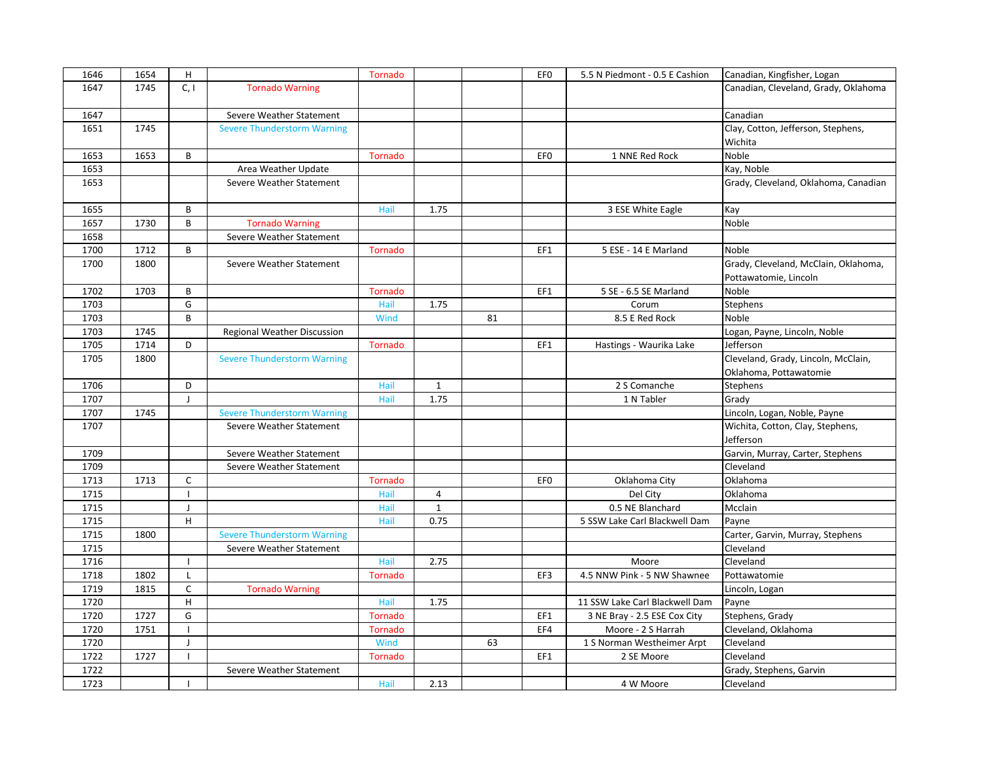| 1646 | 1654 | H              |                                    | Tornado |              |    | EF <sub>0</sub> | 5.5 N Piedmont - 0.5 E Cashion | Canadian, Kingfisher, Logan          |
|------|------|----------------|------------------------------------|---------|--------------|----|-----------------|--------------------------------|--------------------------------------|
| 1647 | 1745 | C, I           | <b>Tornado Warning</b>             |         |              |    |                 |                                | Canadian, Cleveland, Grady, Oklahoma |
|      |      |                |                                    |         |              |    |                 |                                |                                      |
| 1647 |      |                | Severe Weather Statement           |         |              |    |                 |                                | Canadian                             |
| 1651 | 1745 |                | <b>Severe Thunderstorm Warning</b> |         |              |    |                 |                                | Clay, Cotton, Jefferson, Stephens,   |
|      |      |                |                                    |         |              |    |                 |                                | Wichita                              |
| 1653 | 1653 | B              |                                    | Tornado |              |    | EF <sub>0</sub> | 1 NNE Red Rock                 | Noble                                |
| 1653 |      |                | Area Weather Update                |         |              |    |                 |                                | Kay, Noble                           |
| 1653 |      |                | Severe Weather Statement           |         |              |    |                 |                                | Grady, Cleveland, Oklahoma, Canadian |
|      |      |                |                                    |         |              |    |                 |                                |                                      |
| 1655 |      | B              |                                    | Hail    | 1.75         |    |                 | 3 ESE White Eagle              | Kay                                  |
| 1657 | 1730 | B              | <b>Tornado Warning</b>             |         |              |    |                 |                                | Noble                                |
| 1658 |      |                | Severe Weather Statement           |         |              |    |                 |                                |                                      |
| 1700 | 1712 | B              |                                    | Tornado |              |    | EF1             | 5 ESE - 14 E Marland           | Noble                                |
| 1700 | 1800 |                | Severe Weather Statement           |         |              |    |                 |                                | Grady, Cleveland, McClain, Oklahoma, |
|      |      |                |                                    |         |              |    |                 |                                | Pottawatomie, Lincoln                |
| 1702 | 1703 | B              |                                    | Tornado |              |    | EF1             | 5 SE - 6.5 SE Marland          | Noble                                |
| 1703 |      | G              |                                    | Hail    | 1.75         |    |                 | Corum                          | <b>Stephens</b>                      |
| 1703 |      | B              |                                    | Wind    |              | 81 |                 | 8.5 E Red Rock                 | Noble                                |
| 1703 | 1745 |                | Regional Weather Discussion        |         |              |    |                 |                                | Logan, Payne, Lincoln, Noble         |
| 1705 | 1714 | D              |                                    | Tornado |              |    | EF1             | Hastings - Waurika Lake        | Jefferson                            |
| 1705 | 1800 |                | <b>Severe Thunderstorm Warning</b> |         |              |    |                 |                                | Cleveland, Grady, Lincoln, McClain,  |
|      |      |                |                                    |         |              |    |                 |                                |                                      |
|      |      |                |                                    |         |              |    |                 |                                | Oklahoma, Pottawatomie               |
| 1706 |      | D              |                                    | Hail    | $\mathbf{1}$ |    |                 | 2 S Comanche                   | <b>Stephens</b>                      |
| 1707 |      | $\overline{1}$ |                                    | Hail    | 1.75         |    |                 | 1 N Tabler                     | Grady                                |
| 1707 | 1745 |                | <b>Severe Thunderstorm Warning</b> |         |              |    |                 |                                | Lincoln, Logan, Noble, Payne         |
| 1707 |      |                | Severe Weather Statement           |         |              |    |                 |                                | Wichita, Cotton, Clay, Stephens,     |
|      |      |                |                                    |         |              |    |                 |                                | Jefferson                            |
| 1709 |      |                | Severe Weather Statement           |         |              |    |                 |                                | Garvin, Murray, Carter, Stephens     |
| 1709 |      |                | Severe Weather Statement           |         |              |    |                 |                                | Cleveland                            |
| 1713 | 1713 | $\mathsf{C}$   |                                    | Tornado |              |    | EF <sub>0</sub> | Oklahoma City                  | Oklahoma                             |
| 1715 |      |                |                                    | Hail    | 4            |    |                 | Del City                       | Oklahoma                             |
| 1715 |      | J              |                                    | Hail    | $\mathbf{1}$ |    |                 | 0.5 NE Blanchard               | Mcclain                              |
| 1715 |      | H              |                                    | Hail    | 0.75         |    |                 | 5 SSW Lake Carl Blackwell Dam  | Payne                                |
| 1715 | 1800 |                | <b>Severe Thunderstorm Warning</b> |         |              |    |                 |                                | Carter, Garvin, Murray, Stephens     |
| 1715 |      |                | Severe Weather Statement           |         |              |    |                 |                                | Cleveland                            |
| 1716 |      | H              |                                    | Hail    | 2.75         |    |                 | Moore                          | Cleveland                            |
| 1718 | 1802 | $\mathbf{I}$   |                                    | Tornado |              |    | EF3             | 4.5 NNW Pink - 5 NW Shawnee    | Pottawatomie                         |
| 1719 | 1815 | $\mathsf{C}$   | <b>Tornado Warning</b>             |         |              |    |                 |                                | Lincoln, Logan                       |
| 1720 |      | H              |                                    | Hail    | 1.75         |    |                 | 11 SSW Lake Carl Blackwell Dam | Payne                                |
| 1720 | 1727 | G              |                                    | Tornado |              |    | EF1             | 3 NE Bray - 2.5 ESE Cox City   | Stephens, Grady                      |
| 1720 | 1751 |                |                                    | Tornado |              |    | EF4             | Moore - 2 S Harrah             | Cleveland, Oklahoma                  |
| 1720 |      | J              |                                    | Wind    |              | 63 |                 | 1 S Norman Westheimer Arpt     | Cleveland                            |
| 1722 | 1727 | $\mathbf{I}$   |                                    | Tornado |              |    | EF1             | 2 SE Moore                     | Cleveland                            |
| 1722 |      |                | Severe Weather Statement           |         |              |    |                 |                                | Grady, Stephens, Garvin              |
| 1723 |      |                |                                    | Hail    | 2.13         |    |                 | 4 W Moore                      | Cleveland                            |
|      |      |                |                                    |         |              |    |                 |                                |                                      |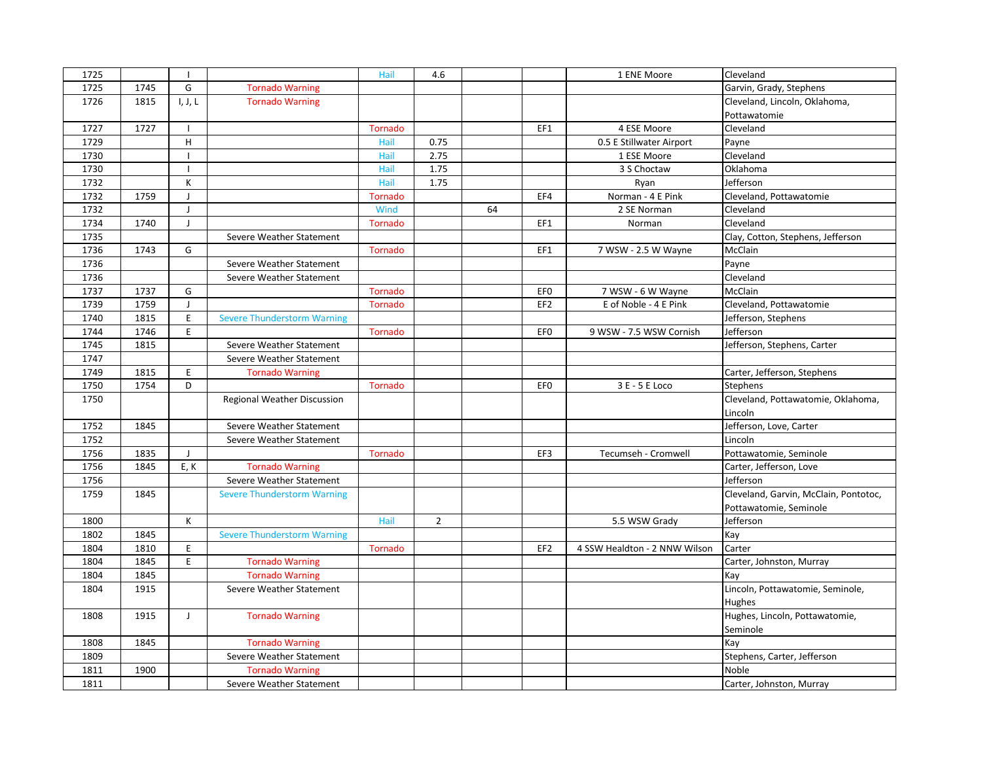| 1725 |      |                |                                    | Hail           | 4.6            |    |                 | 1 ENE Moore                   | Cleveland                             |
|------|------|----------------|------------------------------------|----------------|----------------|----|-----------------|-------------------------------|---------------------------------------|
| 1725 | 1745 | G              | <b>Tornado Warning</b>             |                |                |    |                 |                               | Garvin, Grady, Stephens               |
| 1726 | 1815 | I, J, L        | <b>Tornado Warning</b>             |                |                |    |                 |                               | Cleveland, Lincoln, Oklahoma,         |
|      |      |                |                                    |                |                |    |                 |                               | Pottawatomie                          |
| 1727 | 1727 | $\overline{1}$ |                                    | <b>Tornado</b> |                |    | EF1             | 4 ESE Moore                   | Cleveland                             |
| 1729 |      | H              |                                    | Hail           | 0.75           |    |                 | 0.5 E Stillwater Airport      | Payne                                 |
| 1730 |      | $\overline{1}$ |                                    | Hail           | 2.75           |    |                 | 1 ESE Moore                   | Cleveland                             |
| 1730 |      | п              |                                    | Hail           | 1.75           |    |                 | 3 S Choctaw                   | Oklahoma                              |
| 1732 |      | К              |                                    | Hail           | 1.75           |    |                 | Ryan                          | Jefferson                             |
| 1732 | 1759 | $\overline{1}$ |                                    | <b>Tornado</b> |                |    | EF4             | Norman - 4 E Pink             | Cleveland, Pottawatomie               |
| 1732 |      | $\mathbf{I}$   |                                    | Wind           |                | 64 |                 | 2 SE Norman                   | Cleveland                             |
| 1734 | 1740 | $\perp$        |                                    | Tornado        |                |    | EF1             | Norman                        | Cleveland                             |
| 1735 |      |                | Severe Weather Statement           |                |                |    |                 |                               | Clay, Cotton, Stephens, Jefferson     |
| 1736 | 1743 | G              |                                    | <b>Tornado</b> |                |    | EF1             | 7 WSW - 2.5 W Wayne           | McClain                               |
| 1736 |      |                | Severe Weather Statement           |                |                |    |                 |                               | Payne                                 |
| 1736 |      |                | Severe Weather Statement           |                |                |    |                 |                               | Cleveland                             |
| 1737 | 1737 | G              |                                    | <b>Tornado</b> |                |    | EF <sub>0</sub> | 7 WSW - 6 W Wayne             | McClain                               |
| 1739 | 1759 | J              |                                    | Tornado        |                |    | EF <sub>2</sub> | E of Noble - 4 E Pink         | Cleveland, Pottawatomie               |
| 1740 | 1815 | E              | <b>Severe Thunderstorm Warning</b> |                |                |    |                 |                               | Jefferson, Stephens                   |
| 1744 | 1746 | E              |                                    | Tornado        |                |    | EF <sub>0</sub> | 9 WSW - 7.5 WSW Cornish       | Jefferson                             |
| 1745 | 1815 |                | Severe Weather Statement           |                |                |    |                 |                               | Jefferson, Stephens, Carter           |
| 1747 |      |                | Severe Weather Statement           |                |                |    |                 |                               |                                       |
| 1749 | 1815 | E              | <b>Tornado Warning</b>             |                |                |    |                 |                               | Carter, Jefferson, Stephens           |
| 1750 | 1754 | D              |                                    | Tornado        |                |    | EF <sub>0</sub> | 3 E - 5 E Loco                | Stephens                              |
| 1750 |      |                | Regional Weather Discussion        |                |                |    |                 |                               | Cleveland, Pottawatomie, Oklahoma,    |
|      |      |                |                                    |                |                |    |                 |                               | Lincoln                               |
| 1752 | 1845 |                | Severe Weather Statement           |                |                |    |                 |                               | Jefferson, Love, Carter               |
| 1752 |      |                | Severe Weather Statement           |                |                |    |                 |                               | Lincoln                               |
| 1756 | 1835 | $\perp$        |                                    | Tornado        |                |    | EF3             | Tecumseh - Cromwell           | Pottawatomie, Seminole                |
| 1756 | 1845 | E, K           | <b>Tornado Warning</b>             |                |                |    |                 |                               | Carter, Jefferson, Love               |
| 1756 |      |                | Severe Weather Statement           |                |                |    |                 |                               | Jefferson                             |
| 1759 | 1845 |                | <b>Severe Thunderstorm Warning</b> |                |                |    |                 |                               | Cleveland, Garvin, McClain, Pontotoc, |
|      |      |                |                                    |                |                |    |                 |                               | Pottawatomie, Seminole                |
| 1800 |      | К              |                                    | Hail           | $\overline{2}$ |    |                 | 5.5 WSW Grady                 | Jefferson                             |
| 1802 | 1845 |                | <b>Severe Thunderstorm Warning</b> |                |                |    |                 |                               | Kay                                   |
| 1804 | 1810 | E              |                                    | <b>Tornado</b> |                |    | EF <sub>2</sub> | 4 SSW Healdton - 2 NNW Wilson | Carter                                |
| 1804 | 1845 | E              | <b>Tornado Warning</b>             |                |                |    |                 |                               | Carter, Johnston, Murray              |
| 1804 | 1845 |                | <b>Tornado Warning</b>             |                |                |    |                 |                               | Kay                                   |
| 1804 | 1915 |                | Severe Weather Statement           |                |                |    |                 |                               | Lincoln, Pottawatomie, Seminole,      |
|      |      |                |                                    |                |                |    |                 |                               | Hughes                                |
| 1808 | 1915 | $\mathsf{J}$   | <b>Tornado Warning</b>             |                |                |    |                 |                               | Hughes, Lincoln, Pottawatomie,        |
|      |      |                |                                    |                |                |    |                 |                               | Seminole                              |
| 1808 | 1845 |                | <b>Tornado Warning</b>             |                |                |    |                 |                               | Kay                                   |
| 1809 |      |                | Severe Weather Statement           |                |                |    |                 |                               | Stephens, Carter, Jefferson           |
| 1811 | 1900 |                | <b>Tornado Warning</b>             |                |                |    |                 |                               | Noble                                 |
| 1811 |      |                | Severe Weather Statement           |                |                |    |                 |                               | Carter, Johnston, Murray              |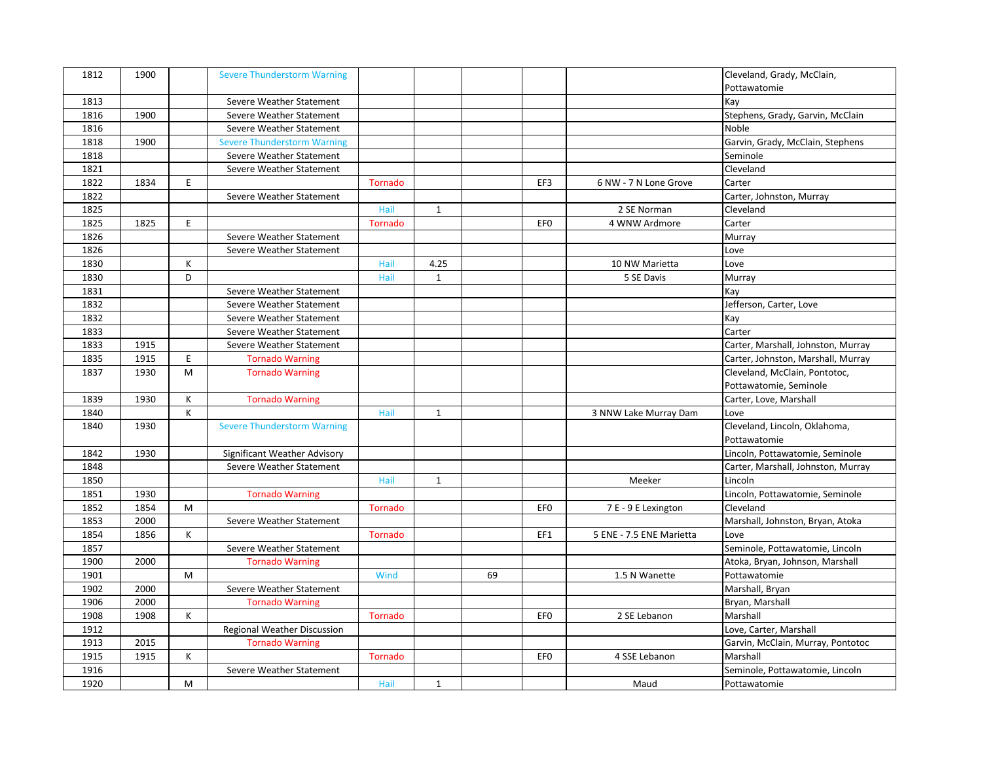| 1812 | 1900 |    | <b>Severe Thunderstorm Warning</b> |                |              |    |                 |                          | Cleveland, Grady, McClain,         |
|------|------|----|------------------------------------|----------------|--------------|----|-----------------|--------------------------|------------------------------------|
|      |      |    |                                    |                |              |    |                 |                          | Pottawatomie                       |
| 1813 |      |    | Severe Weather Statement           |                |              |    |                 |                          | Kay                                |
| 1816 | 1900 |    | Severe Weather Statement           |                |              |    |                 |                          | Stephens, Grady, Garvin, McClain   |
| 1816 |      |    | Severe Weather Statement           |                |              |    |                 |                          | Noble                              |
| 1818 | 1900 |    | <b>Severe Thunderstorm Warning</b> |                |              |    |                 |                          | Garvin, Grady, McClain, Stephens   |
| 1818 |      |    | Severe Weather Statement           |                |              |    |                 |                          | Seminole                           |
| 1821 |      |    | Severe Weather Statement           |                |              |    |                 |                          | Cleveland                          |
| 1822 | 1834 | E  |                                    | <b>Tornado</b> |              |    | EF3             | 6 NW - 7 N Lone Grove    | Carter                             |
| 1822 |      |    | Severe Weather Statement           |                |              |    |                 |                          | Carter, Johnston, Murray           |
| 1825 |      |    |                                    | Hail           | $\mathbf{1}$ |    |                 | 2 SE Norman              | Cleveland                          |
| 1825 | 1825 | E  |                                    | Tornado        |              |    | EF <sub>0</sub> | 4 WNW Ardmore            | Carter                             |
| 1826 |      |    | Severe Weather Statement           |                |              |    |                 |                          | Murray                             |
| 1826 |      |    | Severe Weather Statement           |                |              |    |                 |                          | Love                               |
| 1830 |      | К  |                                    | Hail           | 4.25         |    |                 | 10 NW Marietta           | Love                               |
| 1830 |      | D  |                                    | Hail           | $\mathbf{1}$ |    |                 | 5 SE Davis               | Murray                             |
| 1831 |      |    | Severe Weather Statement           |                |              |    |                 |                          | Kay                                |
| 1832 |      |    | Severe Weather Statement           |                |              |    |                 |                          | Jefferson, Carter, Love            |
| 1832 |      |    | Severe Weather Statement           |                |              |    |                 |                          | Kay                                |
| 1833 |      |    | Severe Weather Statement           |                |              |    |                 |                          | Carter                             |
| 1833 | 1915 |    | Severe Weather Statement           |                |              |    |                 |                          | Carter, Marshall, Johnston, Murray |
| 1835 | 1915 | E. | <b>Tornado Warning</b>             |                |              |    |                 |                          | Carter, Johnston, Marshall, Murray |
| 1837 | 1930 | M  | <b>Tornado Warning</b>             |                |              |    |                 |                          | Cleveland, McClain, Pontotoc,      |
|      |      |    |                                    |                |              |    |                 |                          | Pottawatomie, Seminole             |
| 1839 | 1930 | К  | <b>Tornado Warning</b>             |                |              |    |                 |                          | Carter, Love, Marshall             |
| 1840 |      | K  |                                    | Hail           | $\mathbf{1}$ |    |                 | 3 NNW Lake Murray Dam    | Love                               |
| 1840 | 1930 |    | <b>Severe Thunderstorm Warning</b> |                |              |    |                 |                          | Cleveland, Lincoln, Oklahoma,      |
|      |      |    |                                    |                |              |    |                 |                          | Pottawatomie                       |
| 1842 | 1930 |    | Significant Weather Advisory       |                |              |    |                 |                          | Lincoln, Pottawatomie, Seminole    |
| 1848 |      |    | Severe Weather Statement           |                |              |    |                 |                          | Carter, Marshall, Johnston, Murray |
| 1850 |      |    |                                    | Hail           | $\mathbf{1}$ |    |                 | Meeker                   | Lincoln                            |
| 1851 | 1930 |    | <b>Tornado Warning</b>             |                |              |    |                 |                          | Lincoln, Pottawatomie, Seminole    |
| 1852 | 1854 | M  |                                    | <b>Tornado</b> |              |    | EF <sub>0</sub> | 7 E - 9 E Lexington      | Cleveland                          |
| 1853 | 2000 |    | Severe Weather Statement           |                |              |    |                 |                          | Marshall, Johnston, Bryan, Atoka   |
| 1854 | 1856 | К  |                                    | Tornado        |              |    | EF1             | 5 ENE - 7.5 ENE Marietta | Love                               |
| 1857 |      |    | Severe Weather Statement           |                |              |    |                 |                          | Seminole, Pottawatomie, Lincoln    |
| 1900 | 2000 |    |                                    |                |              |    |                 |                          | Atoka, Bryan, Johnson, Marshall    |
|      |      |    | <b>Tornado Warning</b>             |                |              |    |                 |                          |                                    |
| 1901 |      | M  |                                    | Wind           |              | 69 |                 | 1.5 N Wanette            | Pottawatomie                       |
| 1902 | 2000 |    | Severe Weather Statement           |                |              |    |                 |                          | Marshall, Bryan                    |
| 1906 | 2000 |    | <b>Tornado Warning</b>             |                |              |    |                 |                          | Bryan, Marshall                    |
| 1908 | 1908 | К  |                                    | Tornado        |              |    | EF <sub>0</sub> | 2 SE Lebanon             | Marshall                           |
| 1912 |      |    | Regional Weather Discussion        |                |              |    |                 |                          | Love, Carter, Marshall             |
| 1913 | 2015 |    | <b>Tornado Warning</b>             |                |              |    |                 |                          | Garvin, McClain, Murray, Pontotoc  |
| 1915 | 1915 | К  |                                    | Tornado        |              |    | EF <sub>0</sub> | 4 SSE Lebanon            | Marshall                           |
| 1916 |      |    | Severe Weather Statement           |                |              |    |                 |                          | Seminole, Pottawatomie, Lincoln    |
| 1920 |      | M  |                                    | Hail           | $\mathbf{1}$ |    |                 | Maud                     | Pottawatomie                       |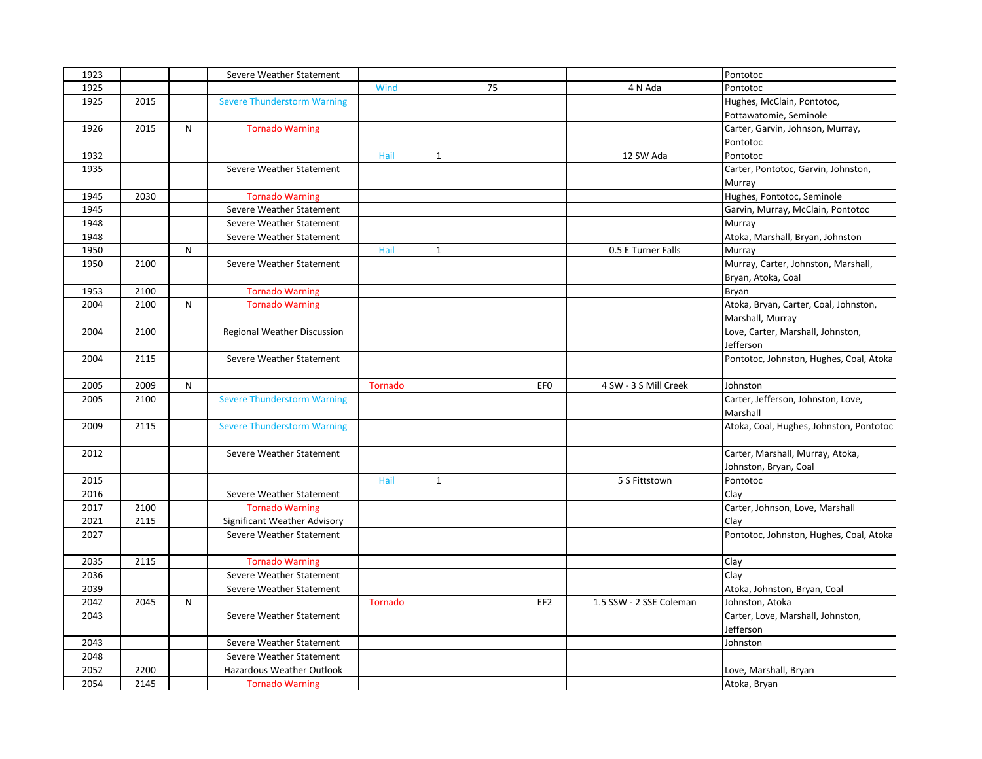| 1923 |      |   | Severe Weather Statement           |         |              |    |                 |                         | Pontotoc                                |
|------|------|---|------------------------------------|---------|--------------|----|-----------------|-------------------------|-----------------------------------------|
| 1925 |      |   |                                    | Wind    |              | 75 |                 | 4 N Ada                 | Pontotoc                                |
| 1925 | 2015 |   | <b>Severe Thunderstorm Warning</b> |         |              |    |                 |                         | Hughes, McClain, Pontotoc,              |
|      |      |   |                                    |         |              |    |                 |                         | Pottawatomie, Seminole                  |
| 1926 | 2015 | N | <b>Tornado Warning</b>             |         |              |    |                 |                         | Carter, Garvin, Johnson, Murray,        |
|      |      |   |                                    |         |              |    |                 |                         | Pontotoc                                |
| 1932 |      |   |                                    | Hail    | $\mathbf{1}$ |    |                 | 12 SW Ada               | Pontotoc                                |
| 1935 |      |   | Severe Weather Statement           |         |              |    |                 |                         | Carter, Pontotoc, Garvin, Johnston,     |
|      |      |   |                                    |         |              |    |                 |                         | Murray                                  |
| 1945 | 2030 |   | <b>Tornado Warning</b>             |         |              |    |                 |                         | Hughes, Pontotoc, Seminole              |
| 1945 |      |   | Severe Weather Statement           |         |              |    |                 |                         | Garvin, Murray, McClain, Pontotoc       |
| 1948 |      |   | Severe Weather Statement           |         |              |    |                 |                         | Murray                                  |
| 1948 |      |   | Severe Weather Statement           |         |              |    |                 |                         | Atoka, Marshall, Bryan, Johnston        |
| 1950 |      | N |                                    | Hail    | $\mathbf{1}$ |    |                 | 0.5 E Turner Falls      | Murray                                  |
| 1950 | 2100 |   | Severe Weather Statement           |         |              |    |                 |                         | Murray, Carter, Johnston, Marshall,     |
|      |      |   |                                    |         |              |    |                 |                         | Bryan, Atoka, Coal                      |
| 1953 | 2100 |   | <b>Tornado Warning</b>             |         |              |    |                 |                         | Bryan                                   |
| 2004 | 2100 | N | <b>Tornado Warning</b>             |         |              |    |                 |                         | Atoka, Bryan, Carter, Coal, Johnston,   |
|      |      |   |                                    |         |              |    |                 |                         | Marshall, Murray                        |
| 2004 | 2100 |   | Regional Weather Discussion        |         |              |    |                 |                         | Love, Carter, Marshall, Johnston,       |
|      |      |   |                                    |         |              |    |                 |                         | Jefferson                               |
| 2004 | 2115 |   | Severe Weather Statement           |         |              |    |                 |                         | Pontotoc, Johnston, Hughes, Coal, Atoka |
|      |      |   |                                    |         |              |    |                 |                         |                                         |
| 2005 | 2009 | N |                                    | Tornado |              |    | EF <sub>0</sub> | 4 SW - 3 S Mill Creek   | Johnston                                |
| 2005 | 2100 |   | <b>Severe Thunderstorm Warning</b> |         |              |    |                 |                         | Carter, Jefferson, Johnston, Love,      |
|      |      |   |                                    |         |              |    |                 |                         | Marshall                                |
| 2009 | 2115 |   | <b>Severe Thunderstorm Warning</b> |         |              |    |                 |                         | Atoka, Coal, Hughes, Johnston, Pontotoc |
|      |      |   |                                    |         |              |    |                 |                         |                                         |
| 2012 |      |   | Severe Weather Statement           |         |              |    |                 |                         | Carter, Marshall, Murray, Atoka,        |
|      |      |   |                                    |         |              |    |                 |                         | Johnston, Bryan, Coal                   |
| 2015 |      |   |                                    | Hail    | $\mathbf{1}$ |    |                 | 5 S Fittstown           | Pontotoc                                |
| 2016 |      |   | Severe Weather Statement           |         |              |    |                 |                         | Clay                                    |
| 2017 | 2100 |   | <b>Tornado Warning</b>             |         |              |    |                 |                         | Carter, Johnson, Love, Marshall         |
| 2021 | 2115 |   | Significant Weather Advisory       |         |              |    |                 |                         | Clay                                    |
| 2027 |      |   | Severe Weather Statement           |         |              |    |                 |                         | Pontotoc, Johnston, Hughes, Coal, Atoka |
|      |      |   |                                    |         |              |    |                 |                         |                                         |
| 2035 | 2115 |   | <b>Tornado Warning</b>             |         |              |    |                 |                         | Clay                                    |
| 2036 |      |   | Severe Weather Statement           |         |              |    |                 |                         | Clay                                    |
| 2039 |      |   | Severe Weather Statement           |         |              |    |                 |                         | Atoka, Johnston, Bryan, Coal            |
| 2042 | 2045 | N |                                    | Tornado |              |    | EF <sub>2</sub> | 1.5 SSW - 2 SSE Coleman | Johnston, Atoka                         |
| 2043 |      |   | Severe Weather Statement           |         |              |    |                 |                         | Carter, Love, Marshall, Johnston,       |
|      |      |   |                                    |         |              |    |                 |                         | Jefferson                               |
| 2043 |      |   | Severe Weather Statement           |         |              |    |                 |                         | Johnston                                |
| 2048 |      |   | Severe Weather Statement           |         |              |    |                 |                         |                                         |
| 2052 | 2200 |   | Hazardous Weather Outlook          |         |              |    |                 |                         | Love, Marshall, Bryan                   |
| 2054 | 2145 |   | <b>Tornado Warning</b>             |         |              |    |                 |                         | Atoka, Bryan                            |